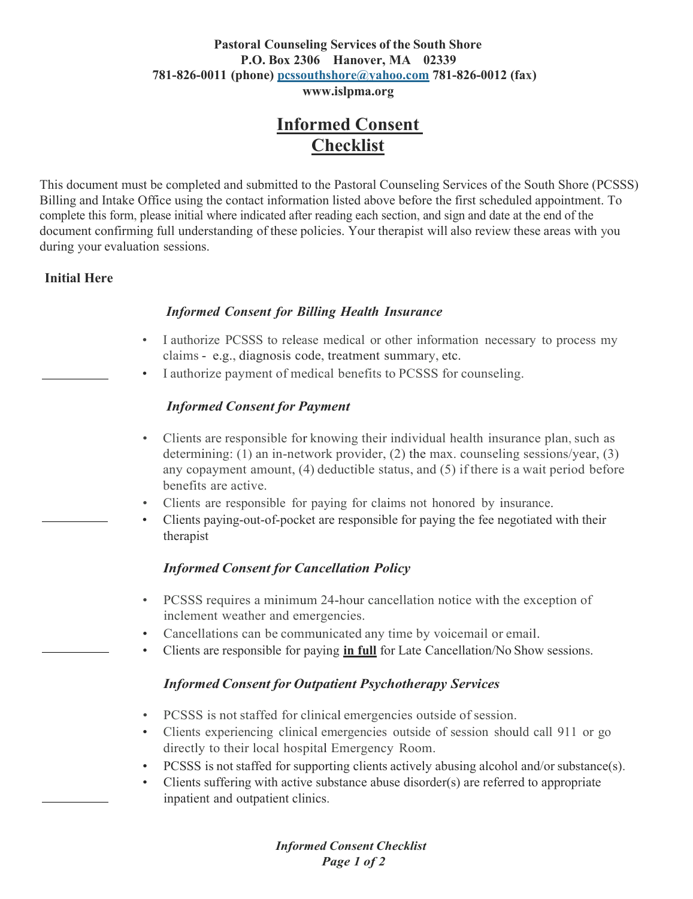#### **Pastoral Counseling Services of the South Shore P.O. Box 2306 Hanover, MA 02339 781-826-0011 (phone) [pcssouthshore@yahoo.com](mailto:pcssouthshore@yahoo.com) 781-826-0012 (fax) [www.islpma.org](http://www.islpma.org/)**

## **Informed Consent Checklist**

This document must be completed and submitted to the Pastoral Counseling Services of the South Shore (PCSSS) Billing and Intake Office using the contact information listed above before the first scheduled appointment. To complete this form, please initial where indicated after reading each section, and sign and date at the end of the document confirming full understanding of these policies. Your therapist will also review these areas with you during your evaluation sessions.

#### **Initial Here**

#### *Informed Consent for Billing Health Insurance*

- I authorize PCSSS to release medical or other information necessary to process my claims - e.g., diagnosis code, treatment summary, etc.
- I authorize payment of medical benefits to PCSSS for counseling.

#### *Informed Consent for Payment*

- Clients are responsible for knowing their individual health insurance plan, such as determining: (1) an in-network provider, (2) the max. counseling sessions/year, (3) any copayment amount, (4) deductible status, and (5) if there is a wait period before benefits are active.
- Clients are responsible for paying for claims not honored by insurance.
- Clients paying-out-of-pocket are responsible for paying the fee negotiated with their therapist

#### *Informed Consent for Cancellation Policy*

- PCSSS requires a minimum 24-hour cancellation notice with the exception of inclement weather and emergencies.
- Cancellations can be communicated any time by voicemail or email.
- Clients are responsible for paying **in full** for Late Cancellation/No Show sessions.

#### *Informed Consent for Outpatient Psychotherapy Services*

- PCSSS is not staffed for clinical emergencies outside of session.
- Clients experiencing clinical emergencies outside of session should call 911 or go directly to their local hospital Emergency Room.
- PCSSS is not staffed for supporting clients actively abusing alcohol and/or substance(s).
- Clients suffering with active substance abuse disorder(s) are referred to appropriate inpatient and outpatient clinics.

*Informed Consent Checklist Page 1 of 2*